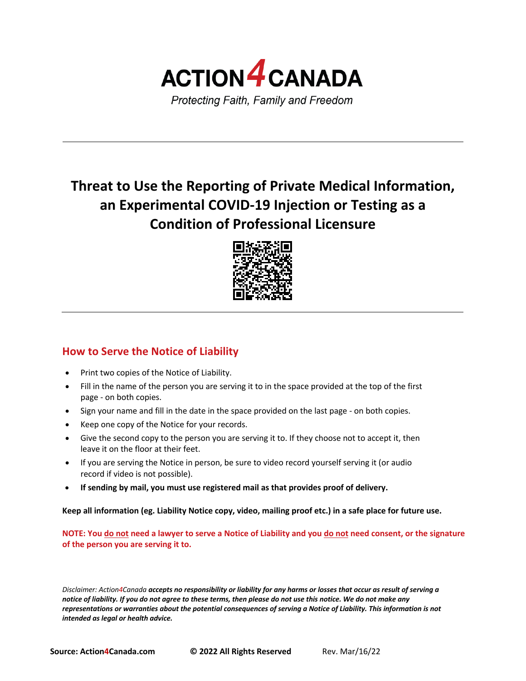

# **Threat to Use the Reporting of Private Medical Information, an Experimental COVID-19 Injection or Testing as a Condition of Professional Licensure**



## **How to Serve the Notice of Liability**

- Print two copies of the Notice of Liability.
- Fill in the name of the person you are serving it to in the space provided at the top of the first page - on both copies.
- Sign your name and fill in the date in the space provided on the last page on both copies.
- Keep one copy of the Notice for your records.
- Give the second copy to the person you are serving it to. If they choose not to accept it, then leave it on the floor at their feet.
- If you are serving the Notice in person, be sure to video record yourself serving it (or audio record if video is not possible).
- **If sending by mail, you must use registered mail as that provides proof of delivery.**

**Keep all information (eg. Liability Notice copy, video, mailing proof etc.) in a safe place for future use.**

**NOTE: You do not need a lawyer to serve a Notice of Liability and you do not need consent, or the signature of the person you are serving it to.**

*Disclaimer: Action4Canada accepts no responsibility or liability for any harms or losses that occur as result of serving a notice of liability. If you do not agree to these terms, then please do not use this notice. We do not make any representations or warranties about the potential consequences of serving a Notice of Liability. This information is not intended as legal or health advice.*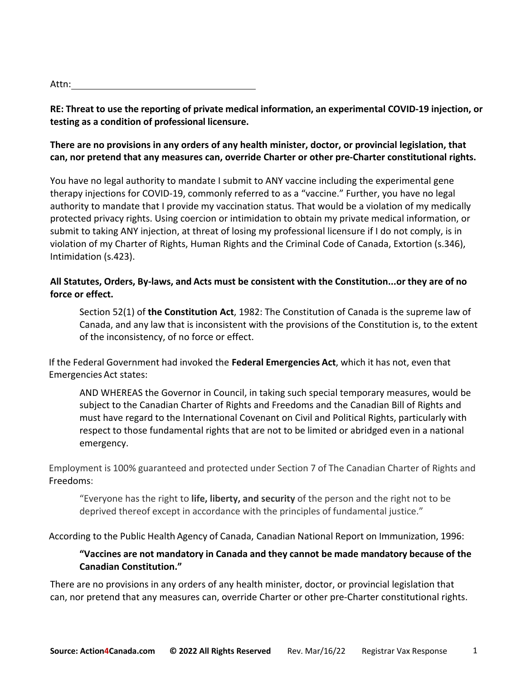| Attn: |  |
|-------|--|
|       |  |

**RE: Threat to use the reporting of private medical information, an experimental COVID-19 injection, or testing as a condition of professional licensure.**

#### **There are no provisions in any orders of any health minister, doctor, or provincial legislation, that can, nor pretend that any measures can, override Charter or other pre-Charter constitutional rights.**

You have no legal authority to mandate I submit to ANY vaccine including the experimental gene therapy injections for COVID-19, commonly referred to as a "vaccine." Further, you have no legal authority to mandate that I provide my vaccination status. That would be a violation of my medically protected privacy rights. Using coercion or intimidation to obtain my private medical information, or submit to taking ANY injection, at threat of losing my professional licensure if I do not comply, is in violation of my Charter of Rights, Human Rights and the Criminal Code of Canada, Extortion (s.346), Intimidation (s.423).

#### **All Statutes, Orders, By-laws, and Acts must be consistent with the Constitution...or they are of no force or effect.**

Section 52(1) of **the Constitution Act**, 1982: The Constitution of Canada is the supreme law of Canada, and any law that is inconsistent with the provisions of the Constitution is, to the extent of the inconsistency, of no force or effect.

If the Federal Government had invoked the **Federal Emergencies Act**, which it has not, even that Emergencies Act states:

AND WHEREAS the Governor in Council, in taking such special temporary measures, would be subject to the Canadian Charter of Rights and Freedoms and the Canadian Bill of Rights and must have regard to the International Covenant on Civil and Political Rights, particularly with respect to those fundamental rights that are not to be limited or abridged even in a national emergency.

Employment is 100% guaranteed and protected under Section 7 of The Canadian Charter of Rights and Freedoms:

"Everyone has the right to **life, liberty, and security** of the person and the right not to be deprived thereof except in accordance with the principles of fundamental justice."

According to the Public Health Agency of Canada, Canadian National Report on Immunization, 1996:

### **"Vaccines are not mandatory in Canada and they cannot be made mandatory because of the Canadian Constitution."**

There are no provisions in any orders of any health minister, doctor, or provincial legislation that can, nor pretend that any measures can, override Charter or other pre-Charter constitutional rights.